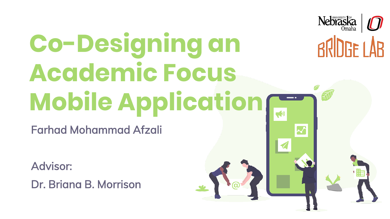#### Nebraska **Co-Designing an**  RRINGF I AR **Academic Focus Mobile Application**

Farhad Mohammad Afzali

Advisor:

Dr. Briana B. Morrison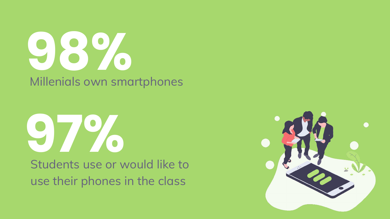## **98%** Millenials own smartphones

#### **97%** Students use or would like to use their phones in the class

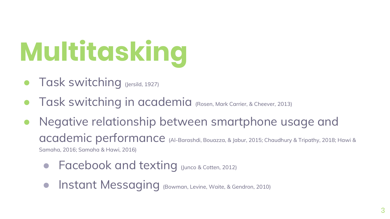# **Multitasking**

- Task switching (Jersild, 1927)
- Task switching in academia (Rosen, Mark Carrier, & Cheever, 2013)
- Negative relationship between smartphone usage and academic performance (Al-Barashdi, Bouazza, & Jabur, 2015; Chaudhury & Tripathy, 2018; Hawi & Samaha, 2016; Samaha & Hawi, 2016)
	- Facebook and texting (Junco & Cotten, 2012)
	- Instant Messaging (Bowman, Levine, Waite, & Gendron, 2010)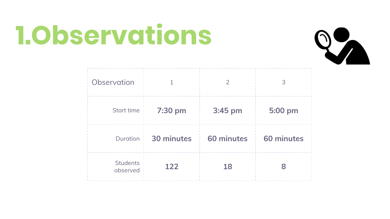### **1.Observations**



| Observation                 |            |            |            |
|-----------------------------|------------|------------|------------|
| Start time                  | 7:30 pm    | 3:45 pm    | 5:00 pm    |
| <b>Duration</b>             | 30 minutes | 60 minutes | 60 minutes |
| <b>Students</b><br>observed | 122        | 18         |            |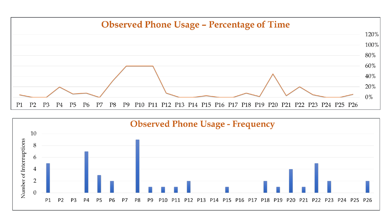

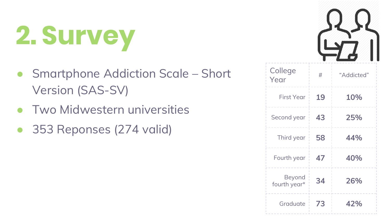# **2. Survey**

- Smartphone Addiction Scale Short Version (SAS-SV)
- **Two Midwestern universities**
- 353 Reponses (274 valid)



| College<br>Year        | #  | "Addicted" |  |
|------------------------|----|------------|--|
| <b>First Year</b>      | 19 | 10%        |  |
| Second year            | 43 | 25%        |  |
| Third year             | 58 | 44%        |  |
| Fourth year            | 47 | 40%        |  |
| Beyond<br>fourth year* | 34 | 26%        |  |
| Graduate               | 73 | 42%        |  |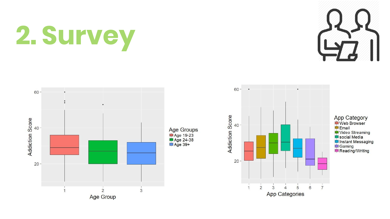# **2. Survey**





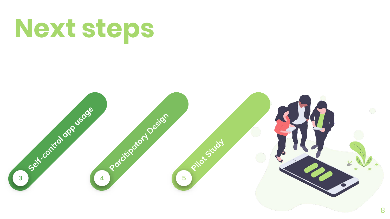### **Next steps**

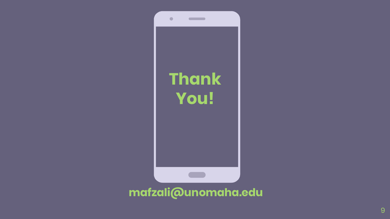